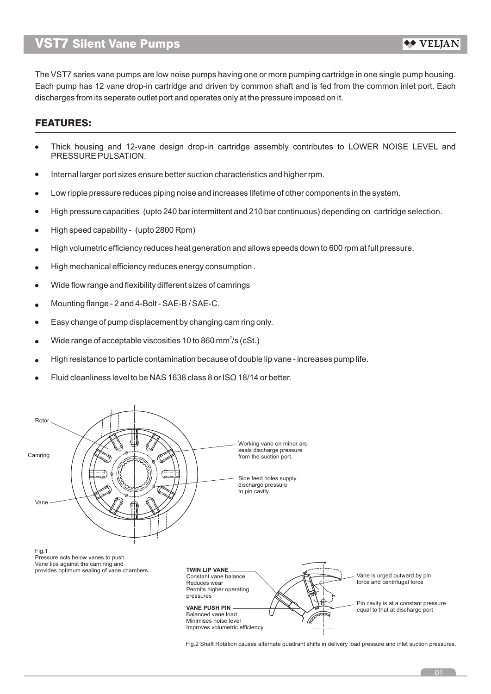The VST7 series vane pumps are low noise pumps having one or more pumping cartridge in one single pump housing. Each pump has 12 vane drop-in cartridge and driven by common shaft and is fed from the common inlet port. Each discharges from its seperate outlet port and operates only at the pressure imposed on it.

## FEATURES:

- Thick housing and 12-vane design drop-in cartridge assembly contributes to LOWER NOISE LEVEL and PRESSURE PULSATION.
- Internal larger port sizes ensure better suction characteristics and higher rpm.  $\bullet$
- Low ripple pressure reduces piping noise and increases lifetime of other components in the system.  $\bullet$
- High pressure capacities (upto 240 bar intermittent and 210 bar continuous) depending on cartridge selection.  $\bullet$
- High speed capability (upto 2800 Rpm)  $\bullet$
- High volumetric efficiency reduces heat generation and allows speeds down to 600 rpm at full pressure.  $\bullet$
- High mechanical efficiency reduces energy consumption .  $\bullet$
- Wide flow range and flexibility different sizes of camrings  $\bullet$
- Mounting flange 2 and 4-Bolt SAE-B / SAE-C.  $\blacksquare$
- Easy change of pump displacement by changing cam ring only.  $\bullet$
- Wide range of acceptable viscosities 10 to 860 mm<sup>2</sup>/s (cSt.)  $\blacksquare$
- High resistance to particle contamination because of double lip vane increases pump life.  $\epsilon$
- Fluid cleanliness level to be NAS 1638 class 8 or ISO 18/14 or better.



Fig.2 Shaft Rotation causes alternate quadrant shifts in delivery load pressure and inlet suction pressures.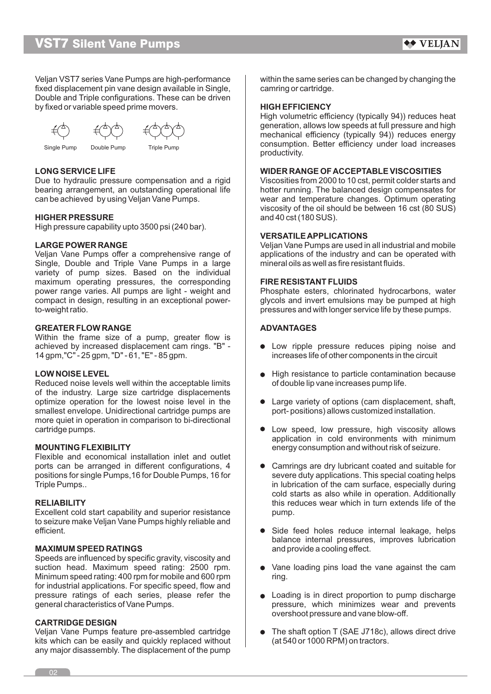Veljan VST7 series Vane Pumps are high-performance within the same series can be changed by changing the fixed displacement pin vane design available in Single, fixed displacement pin vane design available in Single, Double and Triple configurations. These can be driven by fixed or variable speed prime movers. **HIGH EFFICIENCY** 



Single Pump Double Pump Triple Pump

**LONG SERVICE LIFE WIDER RANGE OF ACCEPTABLE VISCOSITIES** Due to hydraulic pressure compensation and a rigid Viscosities from 2000 to 10 cst, permit colder starts and bearing arrangement, an outstanding operational life bearing. The balanced design compensates for can be achieved by using Veljan Vane Pumps. wear and temperature changes. Optimum operating

### **HIGHER PRESSURE** and 40 cst (180 SUS).

High pressure capability upto 3500 psi (240 bar).

Single, Double and Triple Vane Pumps in a large | mineral oils as well as fire resistant fluids. variety of pump sizes. Based on the individual maximum operating pressures, the corresponding **FIRE RESISTANT FLUIDS** power range varies. All pumps are light - weight and Phosphate esters, chlorinated hydrocarbons, water to-weight ratio. pressures and with longer service life by these pumps.

### **GREATER FLOW RANGE ADVANTAGES**

Within the frame size of a pump, greater flow is achieved by increased displacement cam rings. "B" achieved by increased displacement cam rings. "B" - <br>14 gpm, "C" - 25 gpm, "D" - 61, "E" - 85 gpm.

Reduced noise levels well within the acceptable limits of double lip vane increases pump life. of the industry. Large size cartridge displacements optimize operation for the lowest noise level in the  $\Box$   $\bullet$  Large variety of options (cam displacement, shaft, smallest envelope. Unidirectional cartridge pumps are port- positions) allows customized installation. more quiet in operation in comparison to bi-directional cartridge pumps.

Flexible and economical installation inlet and outlet ports can be arranged in different configurations, 4 Camrings are dry lubricant coated and suitable for positions for single Pumps, 16 for Double Pumps, 16 for severe duty applications. This special coating helps<br>Triple Pumps.. in lubrication of the cam surface, especially during

Excellent cold start capability and superior resistance pump. to seizure make Veljan Vane Pumps highly reliable and

Speeds are influenced by specific gravity, viscosity and suction head. Maximum speed rating:  $2500$  rpm.  $\bullet$  Vane loading pins load the vane against the cam Minimum speed rating: 400 rpm for mobile and 600 rpm  $\parallel$  ring. for industrial applications. For specific speed, flow and pressure ratings of each series, please refer the Loading is in direct proportion to pump discharge general characteristics of Vane Pumps.

### **CARTRIDGE DESIGN**

kits which can be easily and quickly replaced without any major disassembly. The displacement of the pump

High volumetric efficiency (typically 94)) reduces heat generation, allows low speeds at full pressure and high mechanical efficiency (typically 94)) reduces energy consumption. Better efficiency under load increases productivity.

hotter running. The balanced design compensates for viscosity of the oil should be between 16 cst (80 SUS)

### **VERSATILE APPLICATIONS**

**LARGE POWER RANGE** The College of the Velian Vane Pumps are used in all industrial and mobile Veljan Vane Pumps offer a comprehensive range of applications of the industry and can be operated with

compact in design, resulting in an exceptional power- glycols and invert emulsions may be pumped at high

- increases life of other components in the circuit
- **LOW NOISE LEVEL LOW NOISE LEVEL All COMING A LOW NOISE LEVEL** 
	-
- Low speed, low pressure, high viscosity allows application in cold environments with minimum **MOUNTING FLEXIBILITY** energy consumption and without risk of seizure.
- in lubrication of the cam surface, especially during cold starts as also while in operation. Additionally **RELIABILITY RELIABILITY this reduces wear which in turn extends life of the**
- Side feed holes reduce internal leakage, helps balance internal pressures, improves lubrication **MAXIMUM SPEED RATINGS and provide a cooling effect.** 
	-
	- pressure, which minimizes wear and prevents. overshoot pressure and vane blow-off.
- Veljan Vane Pumps feature pre-assembled cartridge  $\parallel$   $\bullet$  The shaft option T (SAE J718c), allows direct drive kits which can be easily and quickly replaced without (at 540 or 1000 RPM) on tractors.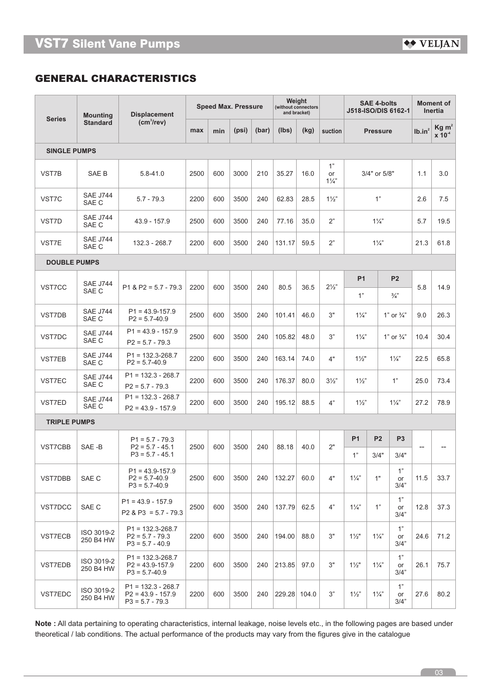# **GENERAL CHARACTERISTICS**

|                     | <b>Mounting</b>          | <b>Displacement</b>                                              |      |     | <b>Speed Max. Pressure</b> | Weight<br>(without connectors<br>and bracket) |              |      | <b>SAE 4-bolts</b><br>J518-ISO/DIS 6162-1 |                 | <b>Moment of</b><br><b>Inertia</b> |                       |                                                     |           |     |      |
|---------------------|--------------------------|------------------------------------------------------------------|------|-----|----------------------------|-----------------------------------------------|--------------|------|-------------------------------------------|-----------------|------------------------------------|-----------------------|-----------------------------------------------------|-----------|-----|------|
| <b>Series</b>       | <b>Standard</b>          | (cm <sup>3</sup> /rev)                                           | max  | min | (psi)                      | (bar)                                         | (Ibs)        | (kg) | suction                                   | <b>Pressure</b> |                                    | Ib.in <sup>2</sup>    | Kg m <sup>2</sup><br>$x \overline{10}$ <sup>4</sup> |           |     |      |
| <b>SINGLE PUMPS</b> |                          |                                                                  |      |     |                            |                                               |              |      |                                           |                 |                                    |                       |                                                     |           |     |      |
| VST7B               | SAE B                    | $5.8 - 41.0$                                                     | 2500 | 600 | 3000                       | 210                                           | 35.27        | 16.0 | 1"<br>or<br>$1\frac{1}{4}$                | 3/4" or 5/8"    |                                    | 1.1                   | 3.0                                                 |           |     |      |
| VST7C               | <b>SAE J744</b><br>SAE C | $5.7 - 79.3$                                                     | 2200 | 600 | 3500                       | 240                                           | 62.83        | 28.5 | $1\frac{1}{2}$                            | 1"              |                                    | 2.6                   | 7.5                                                 |           |     |      |
| VST7D               | <b>SAE J744</b><br>SAE C | 43.9 - 157.9                                                     | 2500 | 600 | 3500                       | 240                                           | 77.16        | 35.0 | 2"                                        | $1\frac{1}{4}$  |                                    | 5.7                   | 19.5                                                |           |     |      |
| VST7E               | <b>SAE J744</b><br>SAE C | 132.3 - 268.7                                                    | 2200 | 600 | 3500                       | 240                                           | 131.17       | 59.5 | 2"                                        | $1\frac{1}{4}$  |                                    | 21.3                  | 61.8                                                |           |     |      |
| <b>DOUBLE PUMPS</b> |                          |                                                                  |      |     |                            |                                               |              |      |                                           |                 |                                    |                       |                                                     |           |     |      |
| VST7CC              | <b>SAE J744</b><br>SAE C | $P1 & P2 = 5.7 - 79.3$                                           | 2200 | 600 | 3500                       | 240                                           | 80.5         | 36.5 | $2\frac{1}{2}$                            |                 |                                    | <b>P1</b>             |                                                     | <b>P2</b> | 5.8 | 14.9 |
|                     |                          |                                                                  |      |     |                            |                                               |              |      |                                           | 1"              |                                    | $\frac{3}{4}$         |                                                     |           |     |      |
| VST7DB              | <b>SAE J744</b><br>SAE C | $P1 = 43.9 - 157.9$<br>$P2 = 5.7 - 40.9$                         | 2500 | 600 | 3500                       | 240                                           | 101.41       | 46.0 | 3"                                        | $1\frac{1}{4}$  |                                    | 1" or $\frac{3}{4}$ " | 9.0                                                 | 26.3      |     |      |
| VST7DC              | <b>SAE J744</b><br>SAE C | $P1 = 43.9 - 157.9$<br>$P2 = 5.7 - 79.3$                         | 2500 | 600 | 3500                       | 240                                           | 105.82       | 48.0 | 3"                                        | $1\frac{1}{4}$  |                                    | 1" or $\frac{3}{4}$ " | 10.4                                                | 30.4      |     |      |
| VST7EB              | <b>SAE J744</b><br>SAE C | $P1 = 132.3 - 268.7$<br>$P2 = 5.7 - 40.9$                        | 2200 | 600 | 3500                       | 240                                           | 163.14       | 74.0 | 4"                                        | $1\frac{1}{2}$  |                                    | $1\frac{1}{4}$        | 22.5                                                | 65.8      |     |      |
| VST7EC              | <b>SAE J744</b><br>SAE C | $P1 = 132.3 - 268.7$<br>$P2 = 5.7 - 79.3$                        | 2200 | 600 | 3500                       | 240                                           | 176.37       | 80.0 | $3\frac{1}{2}$                            | $1\frac{1}{2}$  |                                    | 1"                    | 25.0                                                | 73.4      |     |      |
| VST7ED              | <b>SAE J744</b><br>SAE C | $P1 = 132.3 - 268.7$<br>$P2 = 43.9 - 157.9$                      | 2200 | 600 | 3500                       | 240                                           | 195.12       | 88.5 | 4"                                        | $1\frac{1}{2}$  |                                    | $1\frac{1}{4}$        | 27.2                                                | 78.9      |     |      |
| <b>TRIPLE PUMPS</b> |                          |                                                                  |      |     |                            |                                               |              |      |                                           |                 |                                    |                       |                                                     |           |     |      |
| VST7CBB             | SAE-B                    | $P1 = 5.7 - 79.3$<br>$P2 = 5.7 - 45.1$                           | 2500 | 600 | 3500                       | 240                                           | 88.18        | 40.0 | 2"                                        | <b>P1</b>       | P <sub>2</sub>                     | P <sub>3</sub>        | $-1$                                                |           |     |      |
|                     |                          | $P3 = 5.7 - 45.1$                                                |      |     |                            |                                               |              |      |                                           |                 | 1"                                 | 3/4"                  | 3/4"                                                |           |     |      |
| VST7DBB             | SAE C                    | $P1 = 43.9 - 157.9$<br>$P2 = 5.7 - 40.9$<br>$P3 = 5.7 - 40.9$    | 2500 | 600 | 3500                       | 240                                           | 132.27       | 60.0 | 4"                                        | $1\frac{1}{4}$  | 1"                                 | 1"<br>or<br>3/4"      | 11.5                                                | 33.7      |     |      |
| VST7DCC             | SAE C                    | $P1 = 43.9 - 157.9$<br>$P2 & P3 = 5.7 - 79.3$                    | 2500 | 600 | 3500                       | 240                                           | 137.79       | 62.5 | 4"                                        | $1\frac{1}{4}$  | 1"                                 | 1"<br>or<br>3/4"      | 12.8                                                | 37.3      |     |      |
| VST7ECB             | ISO 3019-2<br>250 B4 HW  | $P1 = 132.3 - 268.7$<br>$P2 = 5.7 - 79.3$<br>$P3 = 5.7 - 40.9$   | 2200 | 600 | 3500                       | 240                                           | 194.00       | 88.0 | 3"                                        | $1\frac{1}{2}$  | $1\frac{1}{4}$                     | 1"<br>or<br>3/4"      | 24.6                                                | 71.2      |     |      |
| VST7EDB             | ISO 3019-2<br>250 B4 HW  | $P1 = 132.3 - 268.7$<br>$P2 = 43.9 - 157.9$<br>$P3 = 5.7 - 40.9$ | 2200 | 600 | 3500                       | 240                                           | 213.85       | 97.0 | 3"                                        | $1\frac{1}{2}$  | $1\frac{1}{4}$                     | 1"<br>or<br>3/4"      | 26.1                                                | 75.7      |     |      |
| VST7EDC             | ISO 3019-2<br>250 B4 HW  | $P1 = 132.3 - 268.7$<br>$P2 = 43.9 - 157.9$<br>$P3 = 5.7 - 79.3$ | 2200 | 600 | 3500                       | 240                                           | 229.28 104.0 |      | 3"                                        | $1\frac{1}{2}$  | $1\frac{1}{4}$                     | 1"<br>or<br>3/4"      | 27.6                                                | 80.2      |     |      |

**Note :** All data pertaining to operating characteristics, internal leakage, noise levels etc., in the following pages are based under theoretical / lab conditions. The actual performance of the products may vary from the figures give in the catalogue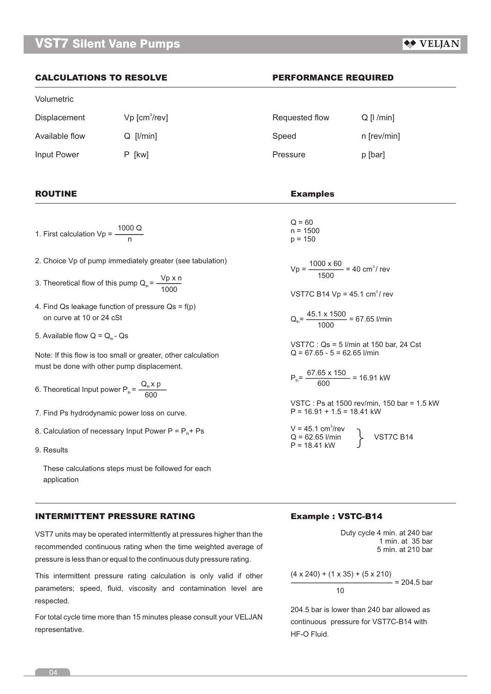## ◆◆ VELIAN

## **CALCULATIONS TO RESOLVE PERFORMANCE REQUIRED**

### Volumetric

 $Displacement$  Vp  $[cm^3/rev]$ Available flow  $Q$  [I/min] Input Power P [kw]

1. First calculation Vp =  $\frac{1000 \text{ Q}}{\text{n}}$ 

- 2. Choice Vp of pump immediately greater (see tabulation)
- 3. Theoretical flow of this pump  $Q_{\text{th}} = \frac{Vp \times n}{1000}$
- 4. Find Qs leakage function of pressure  $Qs = f(p)$ on curve at 10 or 24 cSt
- 5. Available flow  $Q = Q<sub>th</sub> Qs$

Note: If this flow is too small or greater, other calculation must be done with other pump displacement.

- 6. Theoretical Input power  $P_{\text{th}} = \frac{Q_{\text{th}} x \cdot p}{600}$
- 7. Find Ps hydrodynamic power loss on curve.
- 8. Calculation of necessary Input Power  $P = P_{th} + Ps$
- 9. Results

 These calculations steps must be followed for each application

### **INTERMITTENT PRESSURE RATING**

VST7 units may be operated intermittently at pressures higher than the recommended continuous rating when the time weighted average of pressure is less than or equal to the continuous duty pressure rating.

This intermittent pressure rating calculation is only valid if other parameters; speed, fluid, viscosity and contamination level are respected.

For total cycle time more than 15 minutes please consult your VELJAN representative.

| Requested flow | $Q$ [ $ /min$ ] |
|----------------|-----------------|
| Speed          | n [rev/min]     |
| Pressure       | p [bar]         |

## **ROUTINE Examples**

 $Q = 60$  $n = 1500$  $p = 150$ 

 $Vp = \frac{1000 \times 60}{1500} = 40 \text{ cm}^3/\text{rev}$ 

VST7C B14 Vp =  $45.1 \text{ cm}^3/\text{ rev}$ 

 $Q_{th} = \frac{45.1 \times 1500}{1000} = 67.65$  l/min

VST7C : Qs = 5 l/min at 150 bar, 24 Cst  $Q = 67.65 - 5 = 62.65$  l/min

 $P_{th} = \frac{67.65 \times 150}{600} = 16.91$  kW

VSTC : Ps at 1500 rev/min, 150 bar = 1.5 kW  $P = 16.91 + 1.5 = 18.41$  kW

 $V = 45.1$  cm<sup>3</sup>/rev Q = 62.65 l/min VST7C B14 P = 18.41 kW }

### **Example : VSTC-B14**

Duty cycle 4 min. at 240 bar 1 min. at 35 bar 5 min. at 210 bar

$$
\frac{(4 \times 240) + (1 \times 35) + (5 \times 210)}{10} = 204.5 \text{ bar}
$$

204.5 bar is lower than 240 bar allowed as continuous pressure for VST7C-B14 with HF-O Fluid.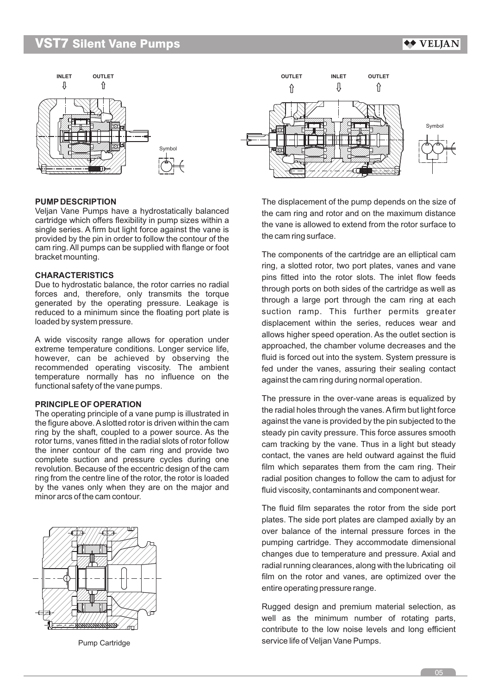◆◆ VELJAN

Symbol



### **PUMP DESCRIPTION**

Veljan Vane Pumps have a hydrostatically balanced cartridge which offers flexibility in pump sizes within a single series. A firm but light force against the vane is provided by the pin in order to follow the contour of the cam ring. All pumps can be supplied with flange or foot bracket mounting.

### **CHARACTERISTICS**

Due to hydrostatic balance, the rotor carries no radial forces and, therefore, only transmits the torque generated by the operating pressure. Leakage is reduced to a minimum since the floating port plate is loaded by system pressure.

A wide viscosity range allows for operation under extreme temperature conditions. Longer service life, however, can be achieved by observing the recommended operating viscosity. The ambient temperature normally has no influence on the functional safety of the vane pumps.

### **PRINCIPLE OF OPERATION**

The operating principle of a vane pump is illustrated in the figure above. Aslotted rotor is driven within the cam ring by the shaft, coupled to a power source. As the rotor turns, vanes fitted in the radial slots of rotor follow the inner contour of the cam ring and provide two complete suction and pressure cycles during one revolution. Because of the eccentric design of the cam ring from the centre line of the rotor, the rotor is loaded by the vanes only when they are on the major and minor arcs of the cam contour.



Pump Cartridge

The displacement of the pump depends on the size of the cam ring and rotor and on the maximum distance the vane is allowed to extend from the rotor surface to the cam ring surface.

The components of the cartridge are an elliptical cam ring, a slotted rotor, two port plates, vanes and vane pins fitted into the rotor slots. The inlet flow feeds through ports on both sides of the cartridge as well as through a large port through the cam ring at each suction ramp. This further permits greater displacement within the series, reduces wear and allows higher speed operation. As the outlet section is approached, the chamber volume decreases and the fluid is forced out into the system. System pressure is fed under the vanes, assuring their sealing contact against the cam ring during normal operation.

The pressure in the over-vane areas is equalized by the radial holes through the vanes. Afirm but light force against the vane is provided by the pin subjected to the steady pin cavity pressure. This force assures smooth cam tracking by the vane. Thus in a light but steady contact, the vanes are held outward against the fluid film which separates them from the cam ring. Their radial position changes to follow the cam to adjust for fluid viscosity, contaminants and component wear.

The fluid film separates the rotor from the side port plates. The side port plates are clamped axially by an over balance of the internal pressure forces in the pumping cartridge. They accommodate dimensional changes due to temperature and pressure. Axial and radial running clearances, along with the lubricating oil film on the rotor and vanes, are optimized over the entire operating pressure range.

Rugged design and premium material selection, as well as the minimum number of rotating parts, contribute to the low noise levels and long efficient service life of Veljan Vane Pumps.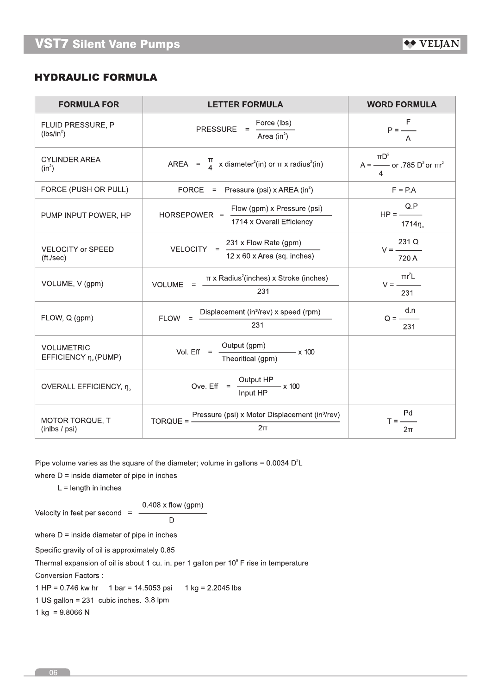# **HYDRAULIC FORMULA**

| <b>FORMULA FOR</b>                        | <b>LETTER FORMULA</b>                                                                        | <b>WORD FORMULA</b>                                           |  |
|-------------------------------------------|----------------------------------------------------------------------------------------------|---------------------------------------------------------------|--|
| FLUID PRESSURE, P<br>$(lbs/in^2)$         | Force (lbs)<br><b>PRESSURE</b><br>Area $(in^2)$                                              | F<br>$P =$ —<br>A                                             |  |
| <b>CYLINDER AREA</b><br>$(in^2)$          | AREA = $\frac{\pi}{4}$ x diameter <sup>2</sup> (in) or $\pi$ x radius <sup>2</sup> (in)      | $\pi D^2$<br>$A =$ - or .785 D <sup>2</sup> or $\pi r^2$<br>4 |  |
| FORCE (PUSH OR PULL)                      | FORCE = Pressure (psi) x AREA (in <sup>2</sup> )                                             | $F = PA$                                                      |  |
| PUMP INPUT POWER, HP                      | Flow (gpm) x Pressure (psi)<br>HORSEPOWER =<br>1714 x Overall Efficiency                     | Q.P<br>$HP =$<br>1714 <sub>0</sub>                            |  |
| VELOCITY or SPEED<br>$({\rm ft./sec})$    | 231 x Flow Rate (gpm)<br>VELOCITY =<br>$12 \times 60 \times$ Area (sq. inches)               | 231 Q<br>720 A                                                |  |
| VOLUME, V (gpm)                           | $\pi$ x Radius <sup>2</sup> (inches) x Stroke (inches)<br>VOLUME<br>$\equiv$<br>231          | $\pi r^2$ L<br>$V =$ ——<br>231                                |  |
| FLOW, Q (gpm)                             | Displacement (in <sup>3</sup> /rev) x speed (rpm)<br><b>FLOW</b><br>$=$<br>231               | d.n<br>$Q =$<br>231                                           |  |
| <b>VOLUMETRIC</b><br>EFFICIENCY n. (PUMP) | Output (gpm)<br>Vol. $Eff =$<br>$\frac{1}{2}$ x 100<br>Theoritical (gpm)                     |                                                               |  |
| OVERALL EFFICIENCY, n.                    | Output HP<br>Ove. Eff $= -$<br>$\frac{1}{2}$ x 100<br>Input HP                               |                                                               |  |
| MOTOR TORQUE, T<br>(inlbs / psi)          | Pressure (psi) x Motor Displacement (in <sup>3</sup> /rev)<br>$TORQUE = -$<br>2 <sub>π</sub> | Pd<br>$T =$ —<br>$2\pi$                                       |  |

Pipe volume varies as the square of the diameter; volume in gallons =  $0.0034$  D<sup>2</sup>L

where  $D =$  inside diameter of pipe in inches

 $L =$  length in inches

$$
0.408 \times \text{flow (gpm)}
$$
  
Velocity in feet per second = 0.408 x flow (gpm)

 $\overline{D}$ 

where  $D =$  inside diameter of pipe in inches

Specific gravity of oil is approximately 0.85

Thermal expansion of oil is about 1 cu. in. per 1 gallon per 10° F rise in temperature

Conversion Factors :

1 HP =  $0.746$  kw hr 1 bar = 14.5053 psi 1 kg =  $2.2045$  lbs

1 US gallon = 231 cubic inches. 3.8 lpm

1 kg =  $9.8066$  N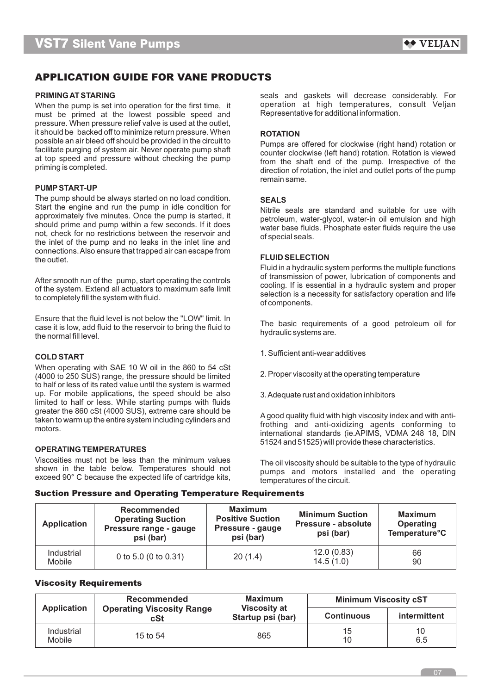# **APPLICATION GUIDE FOR VANE PRODUCTS**

When the pump is set into operation for the first time, it operation at high temperatures, consult velvel into must be primed at the lowest possible speed and Representative for additional information. must be primed at the lowest possible speed and pressure. When pressure relief valve is used at the outlet, it should be backed off to minimize return pressure. When **ROTATION**

### **PUMPSTART-UP**

The pump should be always started on no load condition. **SEALS**<br>Start the engine and run the pump in idle condition for Start the engine and run the pump in idle condition for<br>approximately five minutes. Once the pump is started, it<br>should prime and pump within a few seconds. If it does<br>not, check for no restrictions between the reservoir a connections. Also ensure that trapped air can escape from the outlet the outlet and the outlet the outlet

Ensure that the fluid level is not below the "LOW" limit. In<br>
case it is low, add fluid to the reservoir to bring the fluid to The basic requirements of a good petroleum oil for<br>
the normal fill level.

When operating with SAE 10 W oil in the 860 to 54 cSt (4000 to 250 SUS) range, the pressure should be limited 2. Proper viscosity at the operating temperature to half or less of its rated value until the system is warmed up. For mobile applications, the speed should be also 3. Adequate rust and oxidation inhibitors limited to half or less. While starting pumps with fluids

### **OPERATING TEMPERATURES**

Viscosities must not be less than the minimum values The oil viscosity should be suitable to the type of hydraulic shown in the table below. Temperatures should not pumps and motors installed and the operating exceed 90° C because the expected life of cartridge kits, temperatures of the circuit.

**PRIMING AT STARING**<br>When the nump is set into operation for the first time it approach operation at high temperatures, consult Veljan

possible an air bieed off should be provided in the circuit to<br>facilitate purging of system air. Never operate pump shaft<br>at top speed and pressure without checking the pump<br>priming is completed.<br>priming is completed.<br>prim remain same.

Fluid in a hydraulic system performs the multiple functions After smooth run of the pump, start operating the controls<br>of transmission of power, lubrication of components and<br>ooling. If is essential in a hydraulic system and proper<br>to completely fill the system with fluid.<br>of compo

- 1. Sufficient anti-wear additives **COLD START**
	-
	-

greater the 860 cSt (4000 SUS), extreme care should be<br>taken to warm up the entire system including cylinders and<br>motors.<br>international standards (ie.APIMS, VDMA 248 18, DIN<br>international standards (ie.APIMS, VDMA 248 18, 51524 and 51525) will provide these characteristics.

### **Suction Pressure and Operating Temperature Requirements**

| <b>Application</b>          | <b>Recommended</b><br><b>Operating Suction</b><br>Pressure range - gauge<br>psi (bar) | <b>Maximum</b><br><b>Positive Suction</b><br>Pressure - gauge<br>psi (bar) | <b>Minimum Suction</b><br><b>Pressure - absolute</b><br>psi (bar) | <b>Maximum</b><br><b>Operating</b><br><b>Temperature<sup>°</sup>C</b> |
|-----------------------------|---------------------------------------------------------------------------------------|----------------------------------------------------------------------------|-------------------------------------------------------------------|-----------------------------------------------------------------------|
| Industrial<br><b>Mobile</b> | 0 to 5.0 (0 to 0.31)                                                                  | 20(1.4)                                                                    | 12.0(0.83)<br>14.5(1.0)                                           | 66<br>90                                                              |

### **Viscosity Requirements**

| <b>Application</b>          | Recommended                             | <b>Maximum</b>                           | <b>Minimum Viscosity cST</b> |              |  |  |
|-----------------------------|-----------------------------------------|------------------------------------------|------------------------------|--------------|--|--|
|                             | <b>Operating Viscosity Range</b><br>cSt | <b>Viscosity at</b><br>Startup psi (bar) | <b>Continuous</b>            | intermittent |  |  |
| Industrial<br><b>Mobile</b> | 15 to 54                                | 865                                      | 15<br>10                     | 10<br>6.5    |  |  |